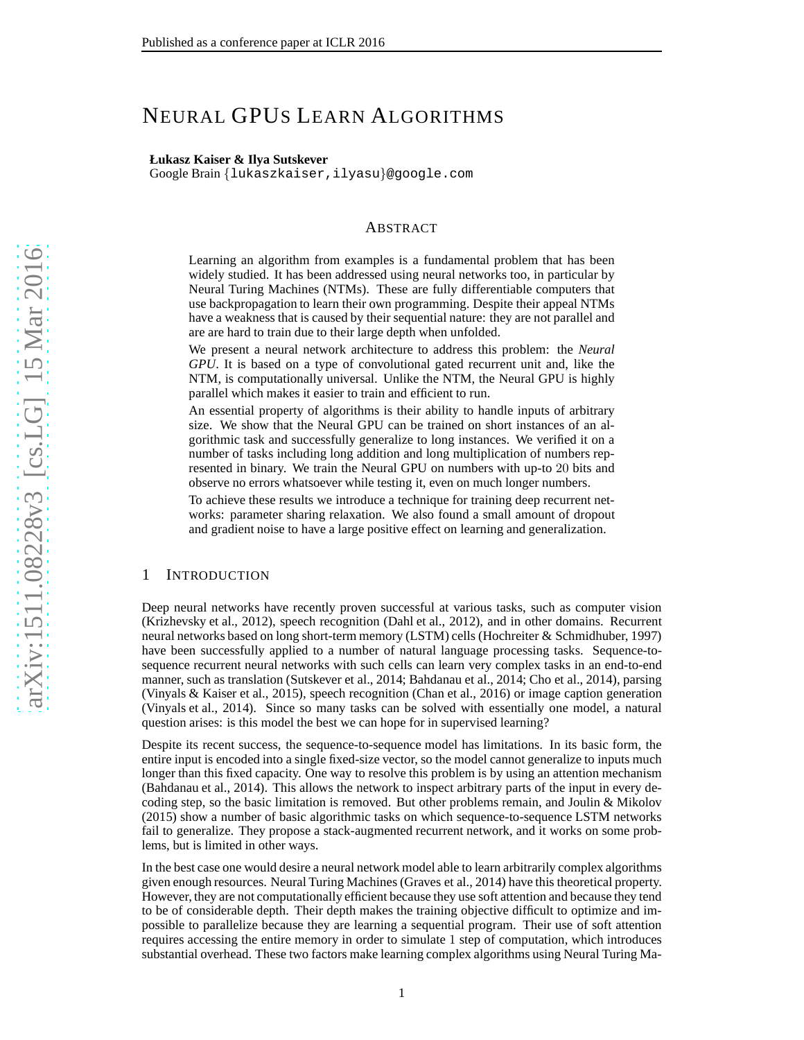# NEURAL GPUS LEARN ALGORITHMS

#### **Łukasz Kaiser & Ilya Sutskever**

Google Brain {lukaszkaiser,ilyasu }@google.com

#### ABSTRACT

Learning an algorithm from examples is a fundamental problem that has been widely studied. It has been addressed using neural networks too, in particular by Neural Turing Machines (NTMs). These are fully differentiable computers that use backpropagation to learn their own programming. Despite their appeal NTMs have a weakness that is caused by their sequential nature: they are not parallel and are are hard to train due to their large depth when unfolded.

We present a neural network architecture to address this problem: the *Neural GPU*. It is based on a type of convolutional gated recurrent unit and, like the NTM, is computationally universal. Unlike the NTM, the Neural GPU is highly parallel which makes it easier to train and efficient to run.

An essential property of algorithms is their ability to handle inputs of arbitrary size. We show that the Neural GPU can be trained on short instances of an algorithmic task and successfully generalize to long instances. We verified it on a number of tasks including long addition and long multiplication of numbers represented in binary. We train the Neural GPU on numbers with up-to 20 bits and observe no errors whatsoever while testing it, even on much longer numbers.

To achieve these results we introduce a technique for training deep recurrent networks: parameter sharing relaxation. We also found a small amount of dropout and gradient noise to have a large positive effect on learning and generalization.

#### 1 INTRODUCTION

Deep neural networks have recently proven successful at various tasks, such as computer vision [\(Krizhevsky et al., 2012](#page-8-0)), speech recognition [\(Dahl et al.,](#page-7-0) [2012\)](#page-7-0), and in other domains. Recurrent neural networks based on long short-term memory (LSTM) cells [\(Hochreiter & Schmidhuber, 1997\)](#page-8-1) have been successfully applied to a number of natural language processing tasks. Sequence-tosequence recurrent neural networks with such cells can learn very complex tasks in an end-to-end manner, such as translation [\(Sutskever et al., 2014;](#page-8-2) [Bahdanau et al.](#page-7-1), [2014](#page-7-1); [Cho et al., 2014\)](#page-7-2), parsing [\(Vinyals & Kaiser et al.](#page-8-3), [2015\)](#page-8-3), speech recognition [\(Chan et](#page-7-3) al., [2016\)](#page-7-3) or image caption generation [\(Vinyals et al.](#page-8-4), [2014\)](#page-8-4). Since so many tasks can be solved with essentially one model, a natural question arises: is this model the best we can hope for in supervised learning?

Despite its recent success, the sequence-to-sequence model has limitations. In its basic form, the entire input is encoded into a single fixed-size vector, so the model cannot generalize to inputs much longer than this fixed capacity. One way to resolve this problem is by using an attention mechanism [\(Bahdanau et al.](#page-7-1), [2014](#page-7-1)). This allows the network to inspect arbitrary parts of the input in every decoding step, so the basic limitation is removed. But other problems remain, and [Joulin & Mikolov](#page-8-5) [\(2015\)](#page-8-5) show a number of basic algorithmic tasks on which sequence-to-sequence LSTM networks fail to generalize. They propose a stack-augmented recurrent network, and it works on some problems, but is limited in other ways.

In the best case one would desire a neural network model able to learn arbitrarily complex algorithms given enough resources. Neural Turing Machines [\(Graves et al., 2014](#page-7-4)) have this theoretical property. However, they are not computationally efficient because they use soft attention and because they tend to be of considerable depth. Their depth makes the training objective difficult to optimize and impossible to parallelize because they are learning a sequential program. Their use of soft attention requires accessing the entire memory in order to simulate 1 step of computation, which introduces substantial overhead. These two factors make learning complex algorithms using Neural Turing Ma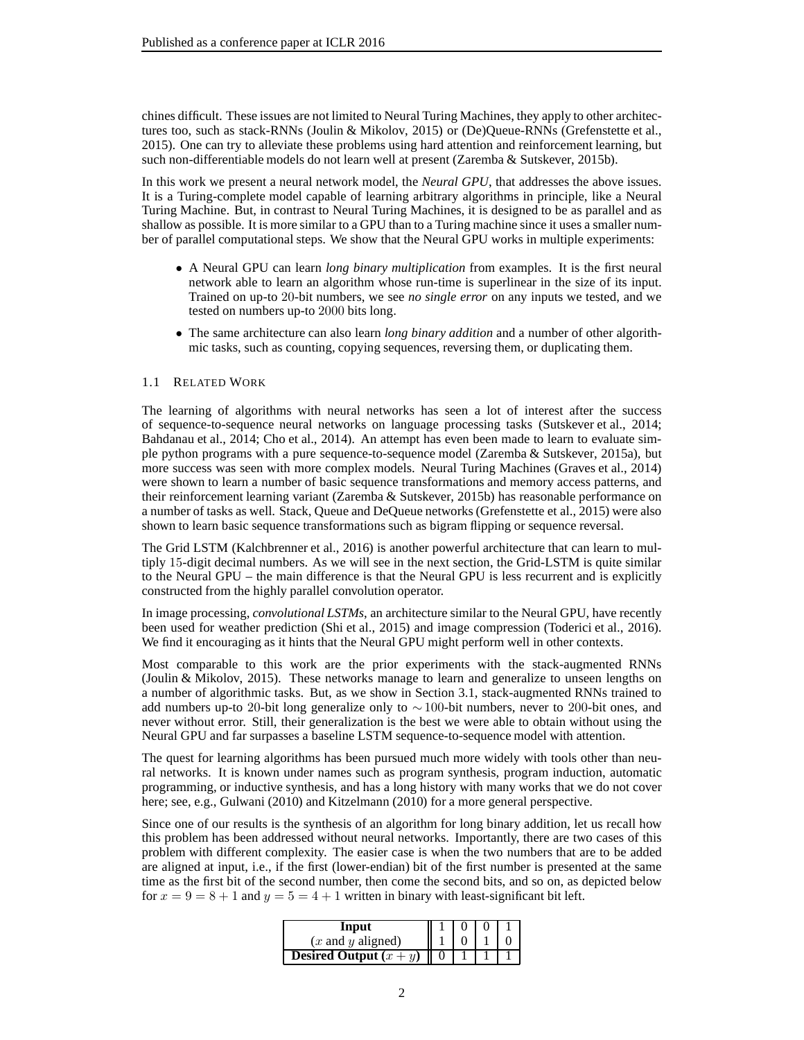chines difficult. These issues are not limited to Neural Turing Machines, they apply to other architectures too, such as stack-RNNs [\(Joulin & Mikolov, 2015\)](#page-8-5) or (De)Queue-RNNs [\(Grefenstette et al.,](#page-8-6) [2015\)](#page-8-6). One can try to alleviate these problems using hard attention and reinforcement learning, but such non-differentiable models do not learn well at present [\(Zaremba & Sutskever](#page-8-7), [2015b](#page-8-7)).

In this work we present a neural network model, the *Neural GPU*, that addresses the above issues. It is a Turing-complete model capable of learning arbitrary algorithms in principle, like a Neural Turing Machine. But, in contrast to Neural Turing Machines, it is designed to be as parallel and as shallow as possible. It is more similar to a GPU than to a Turing machine since it uses a smaller number of parallel computational steps. We show that the Neural GPU works in multiple experiments:

- A Neural GPU can learn *long binary multiplication* from examples. It is the first neural network able to learn an algorithm whose run-time is superlinear in the size of its input. Trained on up-to 20-bit numbers, we see *no single error* on any inputs we tested, and we tested on numbers up-to 2000 bits long.
- The same architecture can also learn *long binary addition* and a number of other algorithmic tasks, such as counting, copying sequences, reversing them, or duplicating them.

## 1.1 RELATED WORK

The learning of algorithms with neural networks has seen a lot of interest after the success of sequence-to-sequence neural networks on language processing tasks [\(Sutskever et al.](#page-8-2), [2014](#page-8-2); [Bahdanau et al., 2014;](#page-7-1) [Cho et al.](#page-7-2), [2014\)](#page-7-2). An attempt has even been made to learn to evaluate simple python programs with a pure sequence-to-sequence model [\(Zaremba & Sutskever, 2015a\)](#page-8-8), but more success was seen with more complex models. Neural Turing Machines [\(Graves et al.](#page-7-4), [2014\)](#page-7-4) were shown to learn a number of basic sequence transformations and memory access patterns, and their reinforcement learning variant [\(Zaremba & Sutskever, 2015b\)](#page-8-7) has reasonable performance on a number of tasks as well. Stack, Queue and DeQueue networks [\(Grefenstette et al.](#page-8-6), [2015](#page-8-6)) were also shown to learn basic sequence transformations such as bigram flipping or sequence reversal.

The Grid LSTM [\(Kalchbrenner et al.](#page-8-9), [2016](#page-8-9)) is another powerful architecture that can learn to multiply 15-digit decimal numbers. As we will see in the next section, the Grid-LSTM is quite similar to the Neural GPU – the main difference is that the Neural GPU is less recurrent and is explicitly constructed from the highly parallel convolution operator.

In image processing, *convolutional LSTMs*, an architecture similar to the Neural GPU, have recently been used for weather prediction [\(Shi et al.](#page-8-10), [2015\)](#page-8-10) and image compression [\(Toderici et al., 2016](#page-8-11)). We find it encouraging as it hints that the Neural GPU might perform well in other contexts.

Most comparable to this work are the prior experiments with the stack-augmented RNNs [\(Joulin & Mikolov, 2015\)](#page-8-5). These networks manage to learn and generalize to unseen lengths on a number of algorithmic tasks. But, as we show in Section [3.1,](#page-3-0) stack-augmented RNNs trained to add numbers up-to 20-bit long generalize only to  $\sim$ 100-bit numbers, never to 200-bit ones, and never without error. Still, their generalization is the best we were able to obtain without using the Neural GPU and far surpasses a baseline LSTM sequence-to-sequence model with attention.

The quest for learning algorithms has been pursued much more widely with tools other than neural networks. It is known under names such as program synthesis, program induction, automatic programming, or inductive synthesis, and has a long history with many works that we do not cover here; see, e.g., [Gulwani \(2010\)](#page-8-12) and [Kitzelmann \(2010\)](#page-8-13) for a more general perspective.

Since one of our results is the synthesis of an algorithm for long binary addition, let us recall how this problem has been addressed without neural networks. Importantly, there are two cases of this problem with different complexity. The easier case is when the two numbers that are to be added are aligned at input, i.e., if the first (lower-endian) bit of the first number is presented at the same time as the first bit of the second number, then come the second bits, and so on, as depicted below for  $x = 9 = 8 + 1$  and  $y = 5 = 4 + 1$  written in binary with least-significant bit left.

| Input                           |  |  |
|---------------------------------|--|--|
| $(x$ and $y$ aligned)           |  |  |
| <b>Desired Output</b> $(x + y)$ |  |  |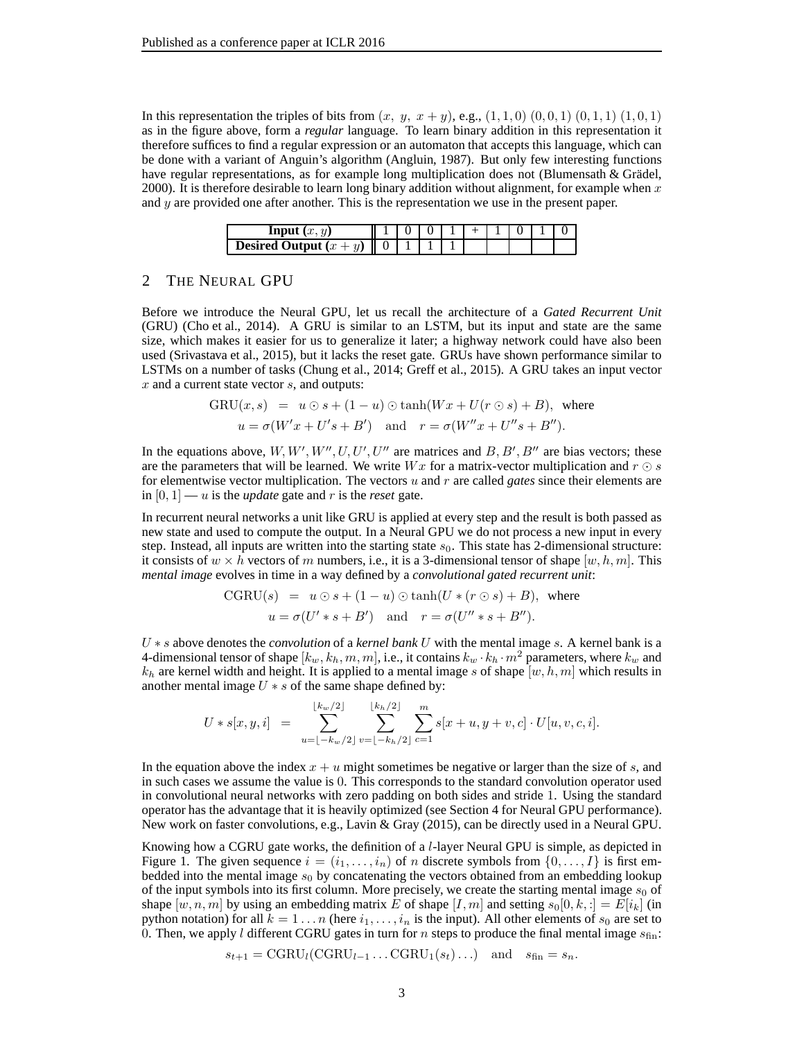In this representation the triples of bits from  $(x, y, x + y)$ , e.g.,  $(1, 1, 0)$   $(0, 0, 1)$   $(0, 1, 1)$   $(1, 0, 1)$ as in the figure above, form a *regular* language. To learn binary addition in this representation it therefore suffices to find a regular expression or an automaton that accepts this language, which can be done with a variant of Anguin's algorithm [\(Angluin](#page-7-5), [1987\)](#page-7-5). But only few interesting functions have regular representations, as for example long multiplication does not (Blumensath  $&$  Grädel, [2000\)](#page-7-6). It is therefore desirable to learn long binary addition without alignment, for example when  $x$ and  $y$  are provided one after another. This is the representation we use in the present paper.

| Input                              |  |  |  |  |  |
|------------------------------------|--|--|--|--|--|
| <b>Desired Output</b> $(x +$<br>II |  |  |  |  |  |

#### <span id="page-2-0"></span>2 THE NEURAL GPU

Before we introduce the Neural GPU, let us recall the architecture of a *Gated Recurrent Unit* (GRU) [\(Cho et al., 2014\)](#page-7-2). A GRU is similar to an LSTM, but its input and state are the same size, which makes it easier for us to generalize it later; a highway network could have also been used [\(Srivastava et al., 2015](#page-8-14)), but it lacks the reset gate. GRUs have shown performance similar to LSTMs on a number of tasks [\(Chung et al.](#page-7-7), [2014;](#page-7-7) [Greff et al.](#page-8-15), [2015](#page-8-15)). A GRU takes an input vector  $x$  and a current state vector  $s$ , and outputs:

$$
GRU(x, s) = u \odot s + (1 - u) \odot \tanh(Wx + U(r \odot s) + B), \text{ where}
$$
  
 
$$
u = \sigma(W'x + U's + B') \text{ and } r = \sigma(W''x + U''s + B'').
$$

In the equations above,  $W, W', W'', U, U', U''$  are matrices and  $B, B', B''$  are bias vectors; these are the parameters that will be learned. We write  $Wx$  for a matrix-vector multiplication and  $r \odot s$ for elementwise vector multiplication. The vectors u and r are called *gates* since their elements are in  $[0, 1]$  — u is the *update* gate and r is the reset gate.

In recurrent neural networks a unit like GRU is applied at every step and the result is both passed as new state and used to compute the output. In a Neural GPU we do not process a new input in every step. Instead, all inputs are written into the starting state  $s<sub>0</sub>$ . This state has 2-dimensional structure: it consists of  $w \times h$  vectors of m numbers, i.e., it is a 3-dimensional tensor of shape  $[w, h, m]$ . This *mental image* evolves in time in a way defined by a *convolutional gated recurrent unit*:

$$
CGRU(s) = u \odot s + (1 - u) \odot \tanh(U * (r \odot s) + B), \text{ where}
$$
  
 
$$
u = \sigma(U' * s + B') \text{ and } r = \sigma(U'' * s + B'').
$$

U ∗ s above denotes the *convolution* of a *kernel bank* U with the mental image s. A kernel bank is a 4-dimensional tensor of shape  $[k_w, k_h, m, m]$ , i.e., it contains  $k_w \cdot k_h \cdot m^2$  parameters, where  $k_w$  and  $k_h$  are kernel width and height. It is applied to a mental image s of shape  $[w, h, m]$  which results in another mental image  $U * s$  of the same shape defined by:

$$
U * s[x, y, i] = \sum_{u=\lfloor -k_w/2 \rfloor}^{\lfloor k_w/2 \rfloor} \sum_{v=\lfloor -k_h/2 \rfloor}^{\lfloor k_h/2 \rfloor} \sum_{c=1}^m s[x+u, y+v, c] \cdot U[u, v, c, i].
$$

In the equation above the index  $x + u$  might sometimes be negative or larger than the size of s, and in such cases we assume the value is 0. This corresponds to the standard convolution operator used in convolutional neural networks with zero padding on both sides and stride 1. Using the standard operator has the advantage that it is heavily optimized (see Section [4](#page-6-0) for Neural GPU performance). New work on faster convolutions, e.g., [Lavin & Gray \(2015](#page-8-16)), can be directly used in a Neural GPU.

Knowing how a CGRU gate works, the definition of a l-layer Neural GPU is simple, as depicted in Figure [1.](#page-3-1) The given sequence  $i = (i_1, \ldots, i_n)$  of n discrete symbols from  $\{0, \ldots, I\}$  is first embedded into the mental image  $s_0$  by concatenating the vectors obtained from an embedding lookup of the input symbols into its first column. More precisely, we create the starting mental image  $s<sub>0</sub>$  of shape  $[w, n, m]$  by using an embedding matrix E of shape  $[I, m]$  and setting  $s_0[0, k, :] = E[i_k]$  (in python notation) for all  $k = 1 \ldots n$  (here  $i_1, \ldots, i_n$  is the input). All other elements of  $s_0$  are set to 0. Then, we apply l different CGRU gates in turn for n steps to produce the final mental image  $s_{fin}$ :

$$
s_{t+1} = \text{CGRU}_{l}(\text{CGRU}_{l-1} \dots \text{CGRU}_{1}(s_{t}) \dots) \quad \text{and} \quad s_{\text{fin}} = s_{n}.
$$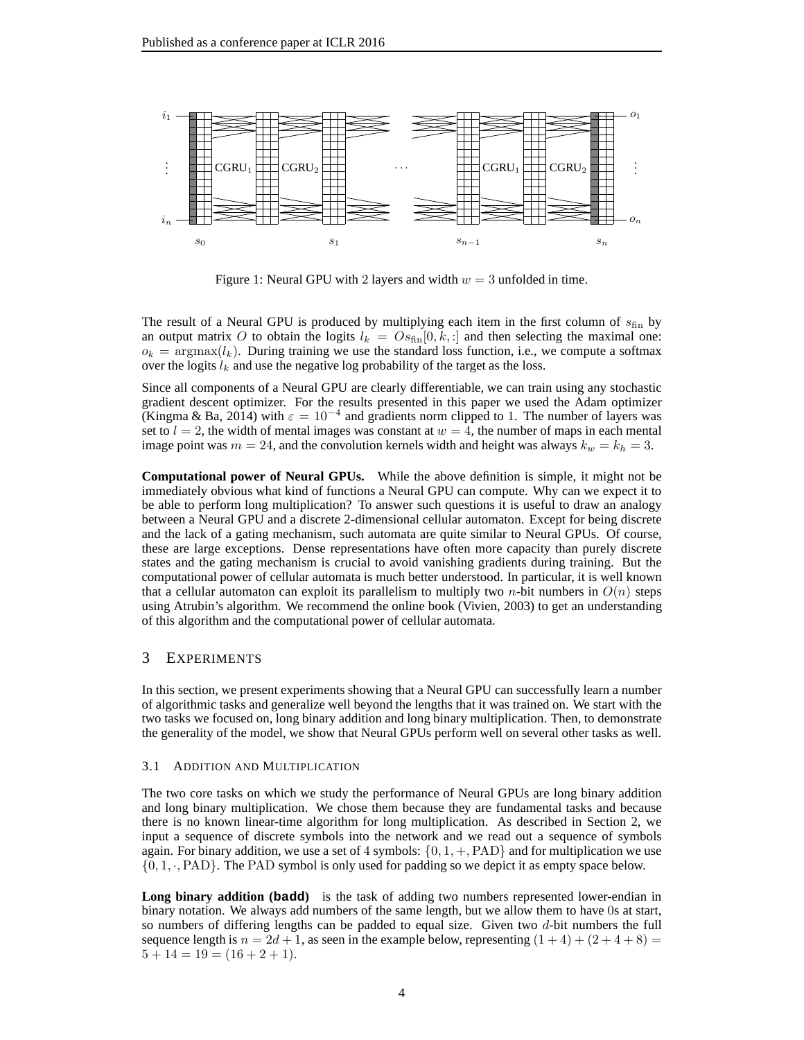

<span id="page-3-1"></span>Figure 1: Neural GPU with 2 layers and width  $w = 3$  unfolded in time.

The result of a Neural GPU is produced by multiplying each item in the first column of  $s_{fin}$  by an output matrix O to obtain the logits  $l_k = O_{\text{fin}}[0, k, :]$  and then selecting the maximal one:  $o_k = \text{argmax}(l_k)$ . During training we use the standard loss function, i.e., we compute a softmax over the logits  $l_k$  and use the negative log probability of the target as the loss.

Since all components of a Neural GPU are clearly differentiable, we can train using any stochastic gradient descent optimizer. For the results presented in this paper we used the Adam optimizer [\(Kingma & Ba](#page-8-17), [2014\)](#page-8-17) with  $\varepsilon = 10^{-4}$  and gradients norm clipped to 1. The number of layers was set to  $l = 2$ , the width of mental images was constant at  $w = 4$ , the number of maps in each mental image point was  $m = 24$ , and the convolution kernels width and height was always  $k_w = k_h = 3$ .

**Computational power of Neural GPUs.** While the above definition is simple, it might not be immediately obvious what kind of functions a Neural GPU can compute. Why can we expect it to be able to perform long multiplication? To answer such questions it is useful to draw an analogy between a Neural GPU and a discrete 2-dimensional cellular automaton. Except for being discrete and the lack of a gating mechanism, such automata are quite similar to Neural GPUs. Of course, these are large exceptions. Dense representations have often more capacity than purely discrete states and the gating mechanism is crucial to avoid vanishing gradients during training. But the computational power of cellular automata is much better understood. In particular, it is well known that a cellular automaton can exploit its parallelism to multiply two *n*-bit numbers in  $O(n)$  steps using Atrubin's algorithm. We recommend the online book [\(Vivien, 2003\)](#page-8-18) to get an understanding of this algorithm and the computational power of cellular automata.

# 3 EXPERIMENTS

In this section, we present experiments showing that a Neural GPU can successfully learn a number of algorithmic tasks and generalize well beyond the lengths that it was trained on. We start with the two tasks we focused on, long binary addition and long binary multiplication. Then, to demonstrate the generality of the model, we show that Neural GPUs perform well on several other tasks as well.

#### <span id="page-3-0"></span>3.1 ADDITION AND MULTIPLICATION

The two core tasks on which we study the performance of Neural GPUs are long binary addition and long binary multiplication. We chose them because they are fundamental tasks and because there is no known linear-time algorithm for long multiplication. As described in Section [2,](#page-2-0) we input a sequence of discrete symbols into the network and we read out a sequence of symbols again. For binary addition, we use a set of 4 symbols:  $\{0, 1, +, PAD\}$  and for multiplication we use  $\{0, 1, \cdot, PAD\}$ . The PAD symbol is only used for padding so we depict it as empty space below.

**Long binary addition (badd)** is the task of adding two numbers represented lower-endian in binary notation. We always add numbers of the same length, but we allow them to have 0s at start, so numbers of differing lengths can be padded to equal size. Given two d-bit numbers the full sequence length is  $n = 2d + 1$ , as seen in the example below, representing  $(1+4) + (2+4+8) =$  $5 + 14 = 19 = (16 + 2 + 1).$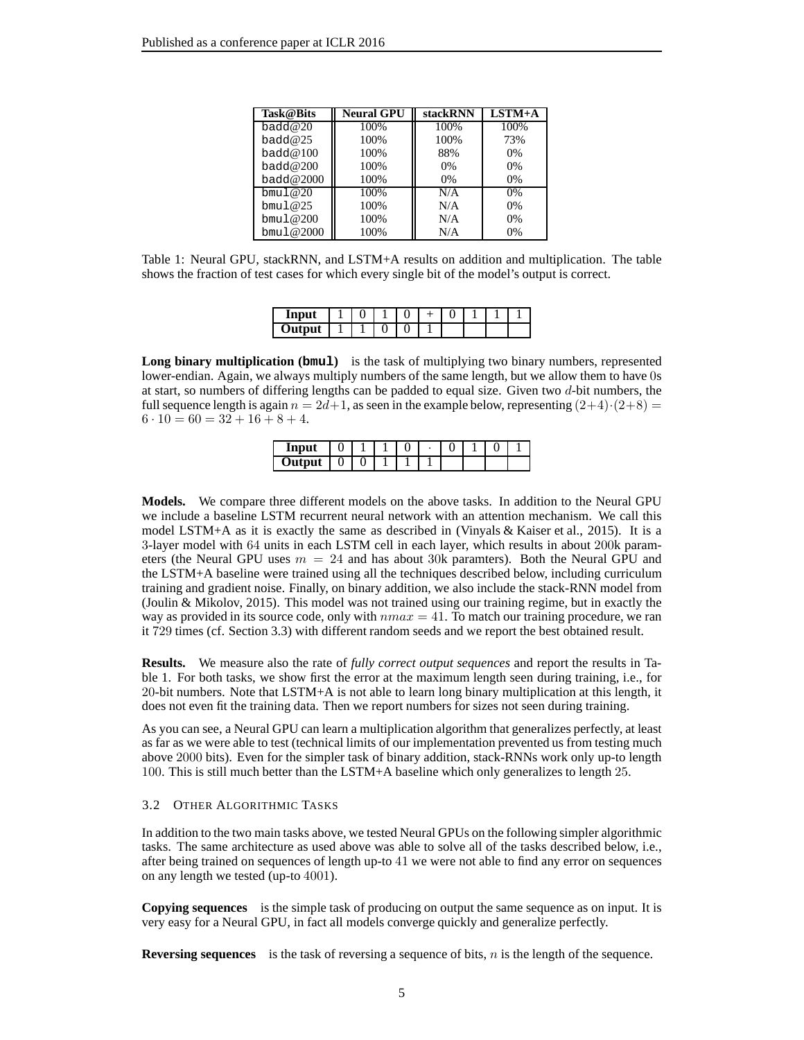| <b>Task</b> @Bits | <b>Neural GPU</b> | stackRNN | $LSTM+A$ |
|-------------------|-------------------|----------|----------|
| badd $@20$        | 100%              | 100%     | 100%     |
| bad@25            | 100%              | 100%     | 73%      |
| bad@100           | 100%              | 88%      | $0\%$    |
| badd $@200$       | 100%              | 0%       | $0\%$    |
| badd@2000         | 100%              | 0%       | $0\%$    |
| bmu1@20           | 100%              | N/A      | $0\%$    |
| bmul $@25$        | 100%              | N/A      | $0\%$    |
| bmul@200          | 100%              | N/A      | $0\%$    |
| bmul@2000         | 100%              | N/A      | $0\%$    |

<span id="page-4-0"></span>Table 1: Neural GPU, stackRNN, and LSTM+A results on addition and multiplication. The table shows the fraction of test cases for which every single bit of the model's output is correct.

| 22222<br>шр |  |  |  |  |  |
|-------------|--|--|--|--|--|
| ∪ut<br>™puı |  |  |  |  |  |

**Long binary multiplication (bmul)** is the task of multiplying two binary numbers, represented lower-endian. Again, we always multiply numbers of the same length, but we allow them to have 0s at start, so numbers of differing lengths can be padded to equal size. Given two d-bit numbers, the full sequence length is again  $n = 2d+1$ , as seen in the example below, representing  $(2+4)\cdot(2+8) =$  $6 \cdot 10 = 60 = 32 + 16 + 8 + 4.$ 

| Input  |   |  | u |  |  |
|--------|---|--|---|--|--|
| Output | u |  |   |  |  |

**Models.** We compare three different models on the above tasks. In addition to the Neural GPU we include a baseline LSTM recurrent neural network with an attention mechanism. We call this model LSTM+A as it is exactly the same as described in [\(Vinyals & Kaiser et al., 2015\)](#page-8-3). It is a 3-layer model with 64 units in each LSTM cell in each layer, which results in about 200k parameters (the Neural GPU uses  $m = 24$  and has about 30k paramters). Both the Neural GPU and the LSTM+A baseline were trained using all the techniques described below, including curriculum training and gradient noise. Finally, on binary addition, we also include the stack-RNN model from [\(Joulin & Mikolov, 2015\)](#page-8-5). This model was not trained using our training regime, but in exactly the way as provided in its source code, only with  $nmax = 41$ . To match our training procedure, we ran it 729 times (cf. Section [3.3\)](#page-5-0) with different random seeds and we report the best obtained result.

**Results.** We measure also the rate of *fully correct output sequences* and report the results in Table [1.](#page-4-0) For both tasks, we show first the error at the maximum length seen during training, i.e., for 20-bit numbers. Note that LSTM+A is not able to learn long binary multiplication at this length, it does not even fit the training data. Then we report numbers for sizes not seen during training.

As you can see, a Neural GPU can learn a multiplication algorithm that generalizes perfectly, at least as far as we were able to test (technical limits of our implementation prevented us from testing much above 2000 bits). Even for the simpler task of binary addition, stack-RNNs work only up-to length 100. This is still much better than the LSTM+A baseline which only generalizes to length 25.

#### 3.2 OTHER ALGORITHMIC TASKS

In addition to the two main tasks above, we tested Neural GPUs on the following simpler algorithmic tasks. The same architecture as used above was able to solve all of the tasks described below, i.e., after being trained on sequences of length up-to 41 we were not able to find any error on sequences on any length we tested (up-to 4001).

**Copying sequences** is the simple task of producing on output the same sequence as on input. It is very easy for a Neural GPU, in fact all models converge quickly and generalize perfectly.

**Reversing sequences** is the task of reversing a sequence of bits, *n* is the length of the sequence.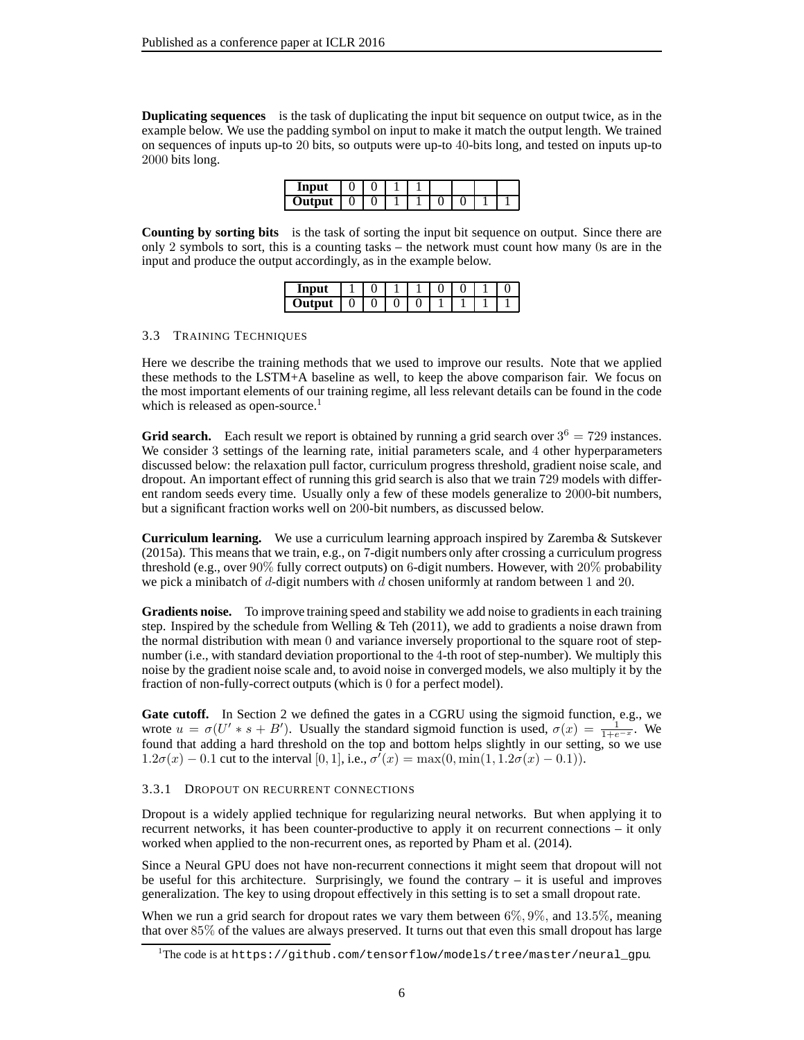**Duplicating sequences** is the task of duplicating the input bit sequence on output twice, as in the example below. We use the padding symbol on input to make it match the output length. We trained on sequences of inputs up-to 20 bits, so outputs were up-to 40-bits long, and tested on inputs up-to 2000 bits long.

| Input  |   |   |  |  |  |
|--------|---|---|--|--|--|
| Output | U | ັ |  |  |  |

**Counting by sorting bits** is the task of sorting the input bit sequence on output. Since there are only 2 symbols to sort, this is a counting tasks – the network must count how many 0s are in the input and produce the output accordingly, as in the example below.

| --- |   |   |   |  |  |
|-----|---|---|---|--|--|
| ∽   | ິ | ີ | ື |  |  |

# <span id="page-5-0"></span>3.3 TRAINING TECHNIQUES

Here we describe the training methods that we used to improve our results. Note that we applied these methods to the LSTM+A baseline as well, to keep the above comparison fair. We focus on the most important elements of our training regime, all less relevant details can be found in the code which is released as open-source.<sup>[1](#page-5-1)</sup>

**Grid search.** Each result we report is obtained by running a grid search over  $3^6 = 729$  instances. We consider 3 settings of the learning rate, initial parameters scale, and 4 other hyperparameters discussed below: the relaxation pull factor, curriculum progress threshold, gradient noise scale, and dropout. An important effect of running this grid search is also that we train 729 models with different random seeds every time. Usually only a few of these models generalize to 2000-bit numbers, but a significant fraction works well on 200-bit numbers, as discussed below.

**Curriculum learning.** We use a curriculum learning approach inspired by [Zaremba & Sutskever](#page-8-8) [\(2015a\)](#page-8-8). This means that we train, e.g., on 7-digit numbers only after crossing a curriculum progress threshold (e.g., over 90% fully correct outputs) on 6-digit numbers. However, with 20% probability we pick a minibatch of d-digit numbers with d chosen uniformly at random between 1 and 20.

**Gradients noise.** To improve training speed and stability we add noise to gradients in each training step. Inspired by the schedule from Welling  $&$  Teh (2011), we add to gradients a noise drawn from the normal distribution with mean 0 and variance inversely proportional to the square root of stepnumber (i.e., with standard deviation proportional to the 4-th root of step-number). We multiply this noise by the gradient noise scale and, to avoid noise in converged models, we also multiply it by the fraction of non-fully-correct outputs (which is 0 for a perfect model).

**Gate cutoff.** In Section [2](#page-2-0) we defined the gates in a CGRU using the sigmoid function, e.g., we wrote  $u = \sigma(U' * s + B')$ . Usually the standard sigmoid function is used,  $\sigma(x) = \frac{1}{1+e^{-x}}$ . We found that adding a hard threshold on the top and bottom helps slightly in our setting, so we use  $1.2\sigma(x) - 0.1$  cut to the interval [0, 1], i.e.,  $\sigma'(x) = \max(0, \min(1, 1.2\sigma(x) - 0.1)).$ 

## 3.3.1 DROPOUT ON RECURRENT CONNECTIONS

Dropout is a widely applied technique for regularizing neural networks. But when applying it to recurrent networks, it has been counter-productive to apply it on recurrent connections – it only worked when applied to the non-recurrent ones, as reported by [Pham et al. \(2014](#page-8-20)).

Since a Neural GPU does not have non-recurrent connections it might seem that dropout will not be useful for this architecture. Surprisingly, we found the contrary – it is useful and improves generalization. The key to using dropout effectively in this setting is to set a small dropout rate.

When we run a grid search for dropout rates we vary them between  $6\%, 9\%,$  and  $13.5\%,$  meaning that over 85% of the values are always preserved. It turns out that even this small dropout has large

<span id="page-5-1"></span><sup>1</sup>The code is at [https://github.com/tensorflow/models/tree/master/neural\\_gpu](https://github.com/tensorflow/models/tree/master/neural_gpu).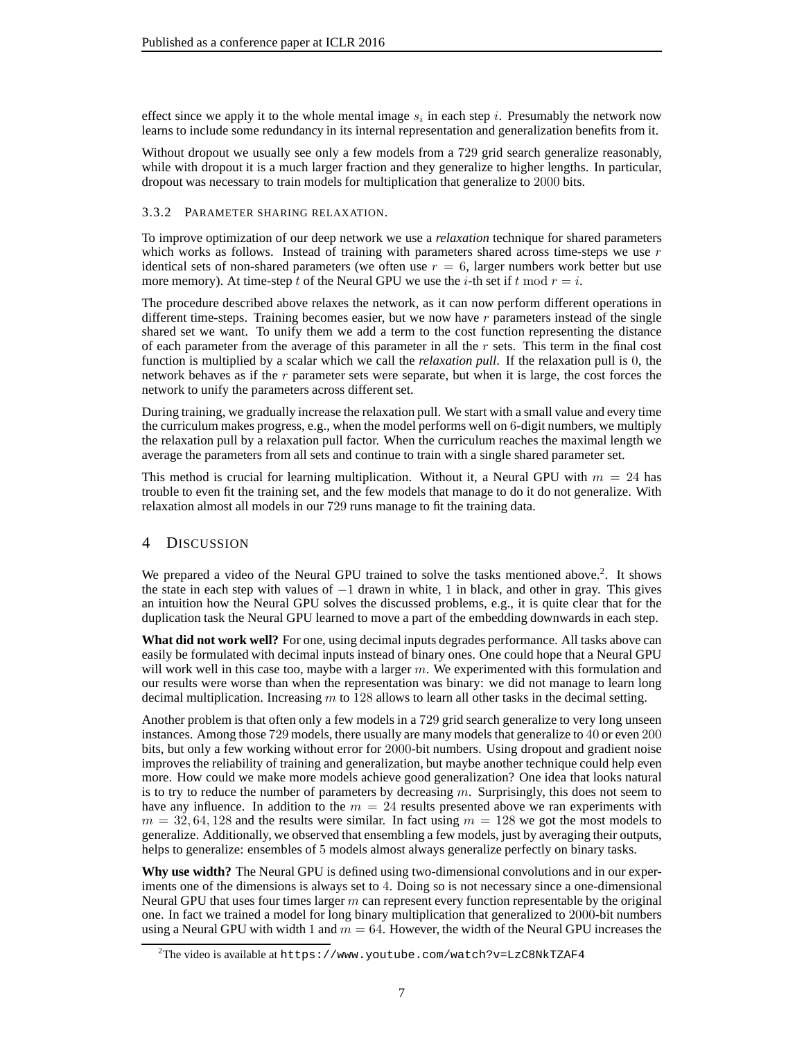effect since we apply it to the whole mental image  $s_i$  in each step *i*. Presumably the network now learns to include some redundancy in its internal representation and generalization benefits from it.

Without dropout we usually see only a few models from a 729 grid search generalize reasonably, while with dropout it is a much larger fraction and they generalize to higher lengths. In particular, dropout was necessary to train models for multiplication that generalize to 2000 bits.

# 3.3.2 PARAMETER SHARING RELAXATION.

To improve optimization of our deep network we use a *relaxation* technique for shared parameters which works as follows. Instead of training with parameters shared across time-steps we use  $r$ identical sets of non-shared parameters (we often use  $r = 6$ , larger numbers work better but use more memory). At time-step t of the Neural GPU we use the i-th set if t mod  $r = i$ .

The procedure described above relaxes the network, as it can now perform different operations in different time-steps. Training becomes easier, but we now have  $r$  parameters instead of the single shared set we want. To unify them we add a term to the cost function representing the distance of each parameter from the average of this parameter in all the  $r$  sets. This term in the final cost function is multiplied by a scalar which we call the *relaxation pull*. If the relaxation pull is 0, the network behaves as if the  $r$  parameter sets were separate, but when it is large, the cost forces the network to unify the parameters across different set.

During training, we gradually increase the relaxation pull. We start with a small value and every time the curriculum makes progress, e.g., when the model performs well on 6-digit numbers, we multiply the relaxation pull by a relaxation pull factor. When the curriculum reaches the maximal length we average the parameters from all sets and continue to train with a single shared parameter set.

This method is crucial for learning multiplication. Without it, a Neural GPU with  $m = 24$  has trouble to even fit the training set, and the few models that manage to do it do not generalize. With relaxation almost all models in our 729 runs manage to fit the training data.

# <span id="page-6-0"></span>4 DISCUSSION

We prepared a video of the Neural GPU trained to solve the tasks mentioned above.<sup>[2](#page-6-1)</sup>. It shows the state in each step with values of  $-1$  drawn in white, 1 in black, and other in gray. This gives an intuition how the Neural GPU solves the discussed problems, e.g., it is quite clear that for the duplication task the Neural GPU learned to move a part of the embedding downwards in each step.

**What did not work well?** For one, using decimal inputs degrades performance. All tasks above can easily be formulated with decimal inputs instead of binary ones. One could hope that a Neural GPU will work well in this case too, maybe with a larger  $m$ . We experimented with this formulation and our results were worse than when the representation was binary: we did not manage to learn long decimal multiplication. Increasing  $m$  to 128 allows to learn all other tasks in the decimal setting.

Another problem is that often only a few models in a 729 grid search generalize to very long unseen instances. Among those 729 models, there usually are many models that generalize to 40 or even 200 bits, but only a few working without error for 2000-bit numbers. Using dropout and gradient noise improves the reliability of training and generalization, but maybe another technique could help even more. How could we make more models achieve good generalization? One idea that looks natural is to try to reduce the number of parameters by decreasing  $m$ . Surprisingly, this does not seem to have any influence. In addition to the  $m = 24$  results presented above we ran experiments with  $m = 32, 64, 128$  and the results were similar. In fact using  $m = 128$  we got the most models to generalize. Additionally, we observed that ensembling a few models, just by averaging their outputs, helps to generalize: ensembles of 5 models almost always generalize perfectly on binary tasks.

**Why use width?** The Neural GPU is defined using two-dimensional convolutions and in our experiments one of the dimensions is always set to 4. Doing so is not necessary since a one-dimensional Neural GPU that uses four times larger  $m$  can represent every function representable by the original one. In fact we trained a model for long binary multiplication that generalized to 2000-bit numbers using a Neural GPU with width 1 and  $m = 64$ . However, the width of the Neural GPU increases the

<span id="page-6-1"></span> $^{2}$ The video is available at <https://www.youtube.com/watch?v=LzC8NkTZAF4>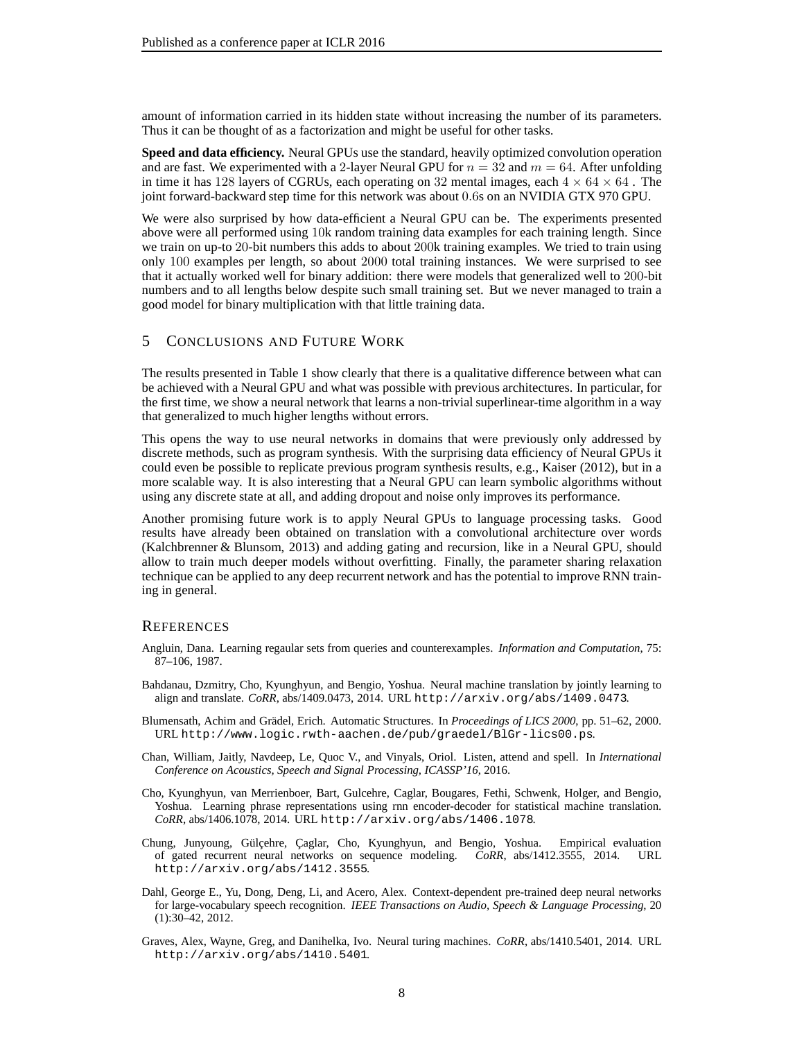amount of information carried in its hidden state without increasing the number of its parameters. Thus it can be thought of as a factorization and might be useful for other tasks.

**Speed and data efficiency.** Neural GPUs use the standard, heavily optimized convolution operation and are fast. We experimented with a 2-layer Neural GPU for  $n = 32$  and  $m = 64$ . After unfolding in time it has 128 layers of CGRUs, each operating on 32 mental images, each  $4 \times 64 \times 64$ . The joint forward-backward step time for this network was about 0.6s on an NVIDIA GTX 970 GPU.

We were also surprised by how data-efficient a Neural GPU can be. The experiments presented above were all performed using 10k random training data examples for each training length. Since we train on up-to 20-bit numbers this adds to about 200k training examples. We tried to train using only 100 examples per length, so about 2000 total training instances. We were surprised to see that it actually worked well for binary addition: there were models that generalized well to 200-bit numbers and to all lengths below despite such small training set. But we never managed to train a good model for binary multiplication with that little training data.

# 5 CONCLUSIONS AND FUTURE WORK

The results presented in Table [1](#page-4-0) show clearly that there is a qualitative difference between what can be achieved with a Neural GPU and what was possible with previous architectures. In particular, for the first time, we show a neural network that learns a non-trivial superlinear-time algorithm in a way that generalized to much higher lengths without errors.

This opens the way to use neural networks in domains that were previously only addressed by discrete methods, such as program synthesis. With the surprising data efficiency of Neural GPUs it could even be possible to replicate previous program synthesis results, e.g., [Kaiser \(2012](#page-8-21)), but in a more scalable way. It is also interesting that a Neural GPU can learn symbolic algorithms without using any discrete state at all, and adding dropout and noise only improves its performance.

Another promising future work is to apply Neural GPUs to language processing tasks. Good results have already been obtained on translation with a convolutional architecture over words [\(Kalchbrenner & Blunsom](#page-8-22), [2013\)](#page-8-22) and adding gating and recursion, like in a Neural GPU, should allow to train much deeper models without overfitting. Finally, the parameter sharing relaxation technique can be applied to any deep recurrent network and has the potential to improve RNN training in general.

#### **REFERENCES**

- <span id="page-7-5"></span>Angluin, Dana. Learning regaular sets from queries and counterexamples. *Information and Computation*, 75: 87–106, 1987.
- <span id="page-7-1"></span>Bahdanau, Dzmitry, Cho, Kyunghyun, and Bengio, Yoshua. Neural machine translation by jointly learning to align and translate. *CoRR*, abs/1409.0473, 2014. URL <http://arxiv.org/abs/1409.0473>.
- <span id="page-7-6"></span>Blumensath, Achim and Grädel, Erich. Automatic Structures. In *Proceedings of LICS 2000*, pp. 51–62, 2000. URL <http://www.logic.rwth-aachen.de/pub/graedel/BlGr-lics00.ps>.
- <span id="page-7-3"></span>Chan, William, Jaitly, Navdeep, Le, Quoc V., and Vinyals, Oriol. Listen, attend and spell. In *International Conference on Acoustics, Speech and Signal Processing, ICASSP'16*, 2016.
- <span id="page-7-2"></span>Cho, Kyunghyun, van Merrienboer, Bart, Gulcehre, Caglar, Bougares, Fethi, Schwenk, Holger, and Bengio, Yoshua. Learning phrase representations using rnn encoder-decoder for statistical machine translation. *CoRR*, abs/1406.1078, 2014. URL <http://arxiv.org/abs/1406.1078>.
- <span id="page-7-7"></span>Chung, Junyoung, Gülçehre, Çaglar, Cho, Kyunghyun, and Bengio, Yoshua. Empirical evaluation of gated recurrent neural networks on sequence modeling. *CoRR*, abs/1412.3555, 2014. URL <http://arxiv.org/abs/1412.3555>.
- <span id="page-7-0"></span>Dahl, George E., Yu, Dong, Deng, Li, and Acero, Alex. Context-dependent pre-trained deep neural networks for large-vocabulary speech recognition. *IEEE Transactions on Audio, Speech & Language Processing*, 20 (1):30–42, 2012.
- <span id="page-7-4"></span>Graves, Alex, Wayne, Greg, and Danihelka, Ivo. Neural turing machines. *CoRR*, abs/1410.5401, 2014. URL <http://arxiv.org/abs/1410.5401>.